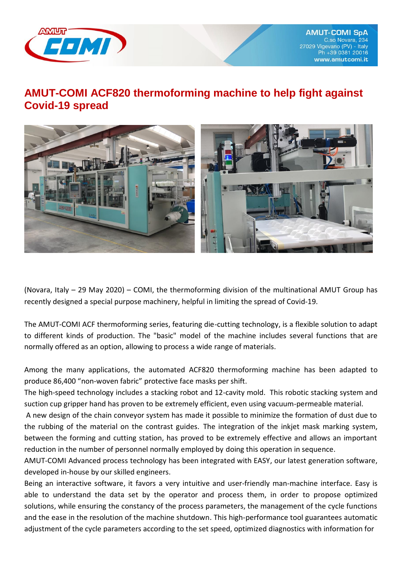

## **AMUT-COMI ACF820 thermoforming machine to help fight against Covid-19 spread**



(Novara, Italy – 29 May 2020) – COMI, the thermoforming division of the multinational AMUT Group has recently designed a special purpose machinery, helpful in limiting the spread of Covid-19.

The AMUT-COMI ACF thermoforming series, featuring die-cutting technology, is a flexible solution to adapt to different kinds of production. The "basic" model of the machine includes several functions that are normally offered as an option, allowing to process a wide range of materials.

Among the many applications, the automated ACF820 thermoforming machine has been adapted to produce 86,400 "non-woven fabric" protective face masks per shift.

The high-speed technology includes a stacking robot and 12-cavity mold. This robotic stacking system and suction cup gripper hand has proven to be extremely efficient, even using vacuum-permeable material.

A new design of the chain conveyor system has made it possible to minimize the formation of dust due to the rubbing of the material on the contrast guides. The integration of the inkjet mask marking system, between the forming and cutting station, has proved to be extremely effective and allows an important reduction in the number of personnel normally employed by doing this operation in sequence.

AMUT-COMI Advanced process technology has been integrated with EASY, our latest generation software, developed in-house by our skilled engineers.

Being an interactive software, it favors a very intuitive and user-friendly man-machine interface. Easy is able to understand the data set by the operator and process them, in order to propose optimized solutions, while ensuring the constancy of the process parameters, the management of the cycle functions and the ease in the resolution of the machine shutdown. This high-performance tool guarantees automatic adjustment of the cycle parameters according to the set speed, optimized diagnostics with information for